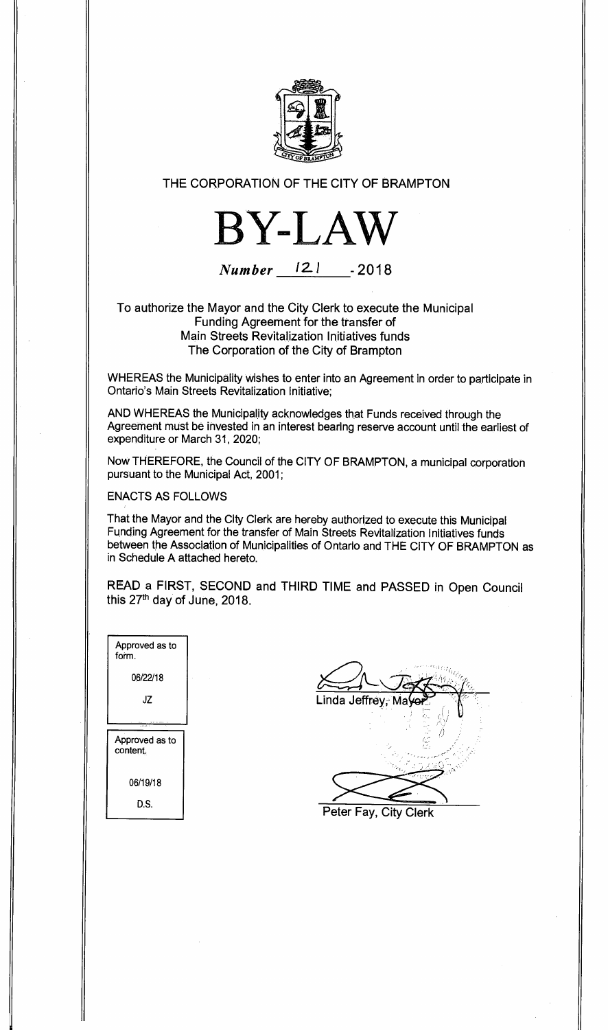

## **THE CORPORATION OF THE CITY OF BRAMPTON**



**Number 12 <sup>I</sup>-2018** 

**To authorize the Mayor and the City Clerk to execute the Municipal Funding Agreement for the transfer of Main Streets Revitalization Initiatives funds The Corporation of the City of Brampton** 

WHEREAS the Municipality wishes to enter into an Agreement in order to participate in Ontario's Main Streets Revitalization Initiative;

AND WHEREAS the Municipality acknowledges that Funds received through the Agreement must be invested in an interest bearing reserve account until the earliest of expenditure or March 31, 2020;

Now THEREFORE, the Council of the CITY OF BRAMPTON, a municipal corporation pursuant to the Municipal Act, 2001;

ENACTS AS FOLLOWS

That the Mayor and the City Clerk are hereby authorized to execute this Municipal Funding Agreement for the transfer of Main Streets Revitalization Initiatives funds between the Association of Municipalities of Ontario and THE CITY OF BRAMPTON as in Schedule A attached hereto.

**READ a FIRST, SECOND and THIRD TIME and PASSED in Open Council this 27th day of June, 2018.** 

| Approved as to<br>form.    |  |
|----------------------------|--|
| 06/22/18                   |  |
| JΖ                         |  |
|                            |  |
| Approved as to<br>content. |  |
| 06/19/18                   |  |
|                            |  |

| Linda Jeffrey, Ma     |
|-----------------------|
|                       |
|                       |
|                       |
|                       |
| Peter Fay, City Clerk |